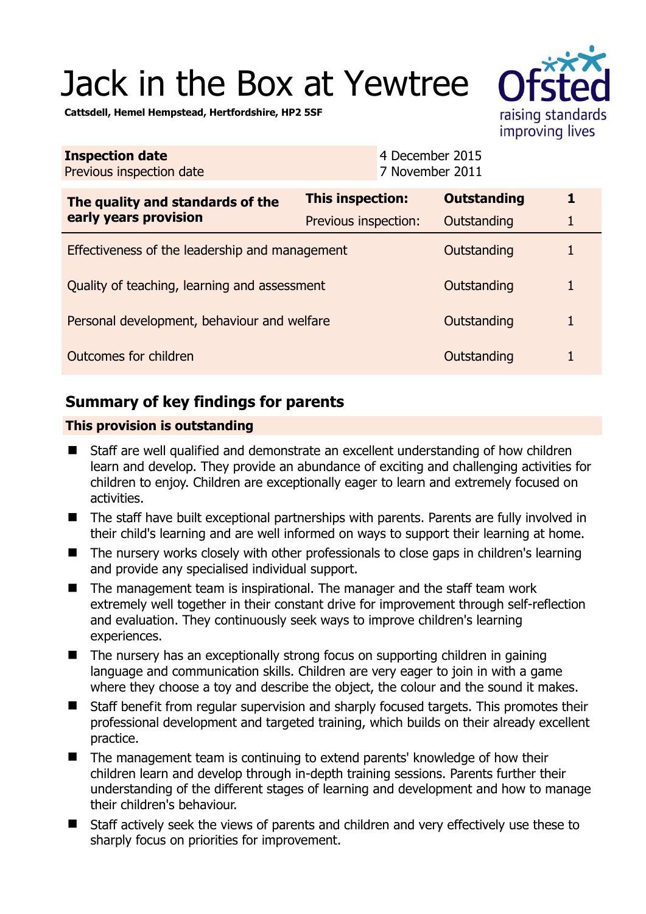# Jack in the Box at Yewtree

raising standards improving lives

**Cattsdell, Hemel Hempstead, Hertfordshire, HP2 5SF** 

| <b>Inspection date</b><br>Previous inspection date        | 4 December 2015<br>7 November 2011 |                    |   |
|-----------------------------------------------------------|------------------------------------|--------------------|---|
| The quality and standards of the<br>early years provision | <b>This inspection:</b>            | <b>Outstanding</b> | 1 |
|                                                           | Previous inspection:               | Outstanding        | 1 |
| Effectiveness of the leadership and management            |                                    | Outstanding        | 1 |
| Quality of teaching, learning and assessment              |                                    | Outstanding        | 1 |
| Personal development, behaviour and welfare               |                                    | Outstanding        | 1 |
| Outcomes for children                                     |                                    | Outstanding        | 1 |

## **Summary of key findings for parents**

## **This provision is outstanding**

- Staff are well qualified and demonstrate an excellent understanding of how children learn and develop. They provide an abundance of exciting and challenging activities for children to enjoy. Children are exceptionally eager to learn and extremely focused on activities.
- The staff have built exceptional partnerships with parents. Parents are fully involved in their child's learning and are well informed on ways to support their learning at home.
- The nursery works closely with other professionals to close gaps in children's learning and provide any specialised individual support.
- The management team is inspirational. The manager and the staff team work extremely well together in their constant drive for improvement through self-reflection and evaluation. They continuously seek ways to improve children's learning experiences.
- The nursery has an exceptionally strong focus on supporting children in gaining language and communication skills. Children are very eager to join in with a game where they choose a toy and describe the object, the colour and the sound it makes.
- Staff benefit from regular supervision and sharply focused targets. This promotes their professional development and targeted training, which builds on their already excellent practice.
- The management team is continuing to extend parents' knowledge of how their children learn and develop through in-depth training sessions. Parents further their understanding of the different stages of learning and development and how to manage their children's behaviour.
- Staff actively seek the views of parents and children and very effectively use these to sharply focus on priorities for improvement.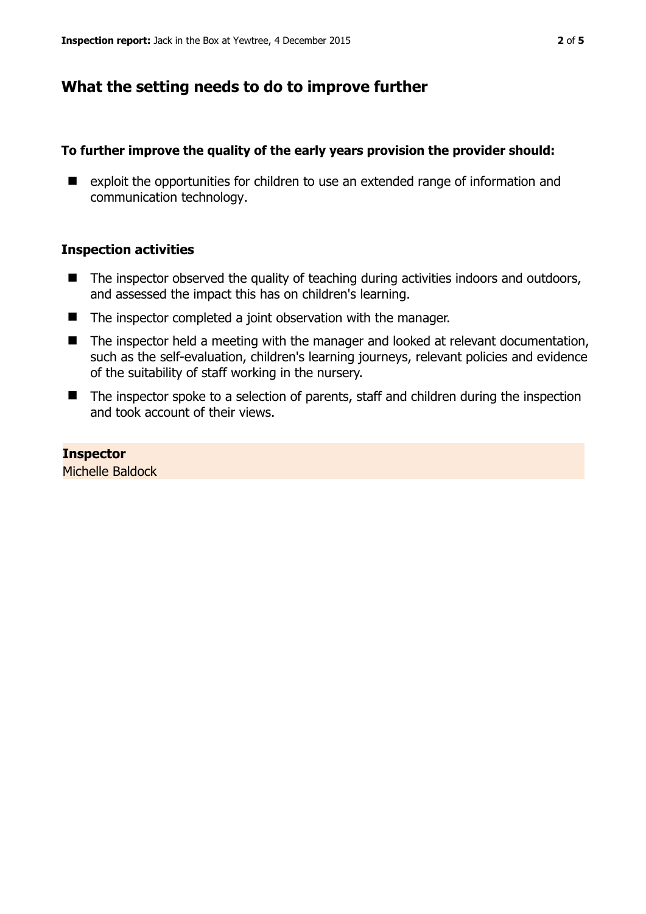## **What the setting needs to do to improve further**

## **To further improve the quality of the early years provision the provider should:**

■ exploit the opportunities for children to use an extended range of information and communication technology.

### **Inspection activities**

- $\blacksquare$  The inspector observed the quality of teaching during activities indoors and outdoors, and assessed the impact this has on children's learning.
- The inspector completed a joint observation with the manager.
- The inspector held a meeting with the manager and looked at relevant documentation, such as the self-evaluation, children's learning journeys, relevant policies and evidence of the suitability of staff working in the nursery.
- The inspector spoke to a selection of parents, staff and children during the inspection and took account of their views.

**Inspector**  Michelle Baldock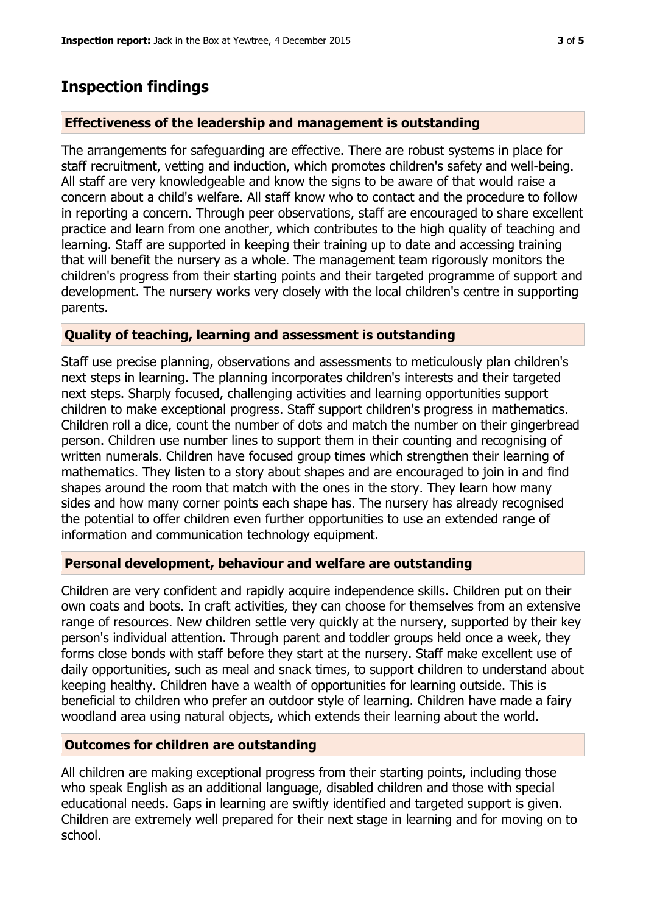## **Inspection findings**

#### **Effectiveness of the leadership and management is outstanding**

The arrangements for safeguarding are effective. There are robust systems in place for staff recruitment, vetting and induction, which promotes children's safety and well-being. All staff are very knowledgeable and know the signs to be aware of that would raise a concern about a child's welfare. All staff know who to contact and the procedure to follow in reporting a concern. Through peer observations, staff are encouraged to share excellent practice and learn from one another, which contributes to the high quality of teaching and learning. Staff are supported in keeping their training up to date and accessing training that will benefit the nursery as a whole. The management team rigorously monitors the children's progress from their starting points and their targeted programme of support and development. The nursery works very closely with the local children's centre in supporting parents.

### **Quality of teaching, learning and assessment is outstanding**

Staff use precise planning, observations and assessments to meticulously plan children's next steps in learning. The planning incorporates children's interests and their targeted next steps. Sharply focused, challenging activities and learning opportunities support children to make exceptional progress. Staff support children's progress in mathematics. Children roll a dice, count the number of dots and match the number on their gingerbread person. Children use number lines to support them in their counting and recognising of written numerals. Children have focused group times which strengthen their learning of mathematics. They listen to a story about shapes and are encouraged to join in and find shapes around the room that match with the ones in the story. They learn how many sides and how many corner points each shape has. The nursery has already recognised the potential to offer children even further opportunities to use an extended range of information and communication technology equipment.

#### **Personal development, behaviour and welfare are outstanding**

Children are very confident and rapidly acquire independence skills. Children put on their own coats and boots. In craft activities, they can choose for themselves from an extensive range of resources. New children settle very quickly at the nursery, supported by their key person's individual attention. Through parent and toddler groups held once a week, they forms close bonds with staff before they start at the nursery. Staff make excellent use of daily opportunities, such as meal and snack times, to support children to understand about keeping healthy. Children have a wealth of opportunities for learning outside. This is beneficial to children who prefer an outdoor style of learning. Children have made a fairy woodland area using natural objects, which extends their learning about the world.

#### **Outcomes for children are outstanding**

All children are making exceptional progress from their starting points, including those who speak English as an additional language, disabled children and those with special educational needs. Gaps in learning are swiftly identified and targeted support is given. Children are extremely well prepared for their next stage in learning and for moving on to school.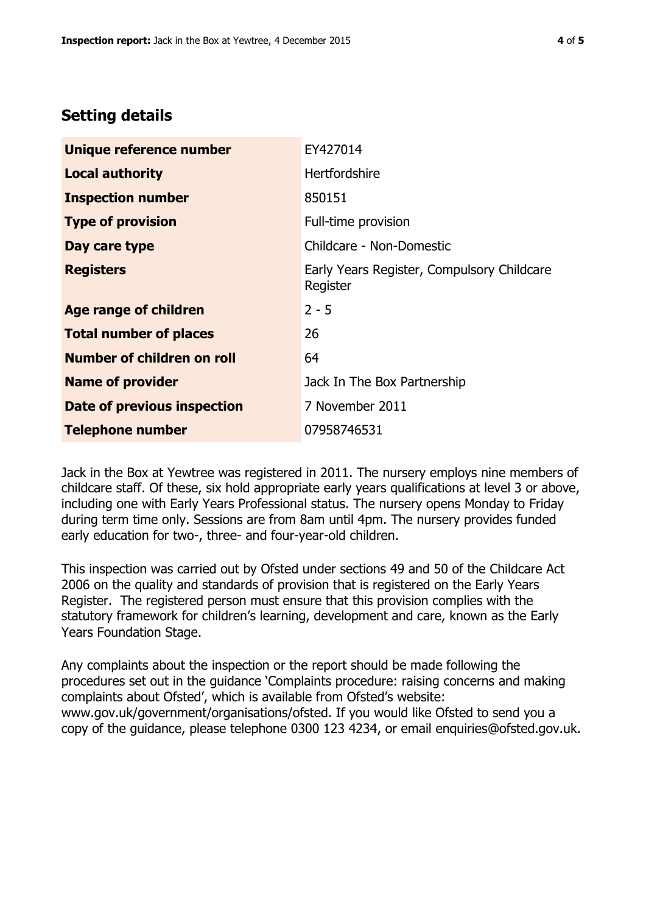## **Setting details**

| Unique reference number       | EY427014                                               |  |
|-------------------------------|--------------------------------------------------------|--|
| <b>Local authority</b>        | <b>Hertfordshire</b>                                   |  |
| <b>Inspection number</b>      | 850151                                                 |  |
| <b>Type of provision</b>      | Full-time provision                                    |  |
| Day care type                 | Childcare - Non-Domestic                               |  |
| <b>Registers</b>              | Early Years Register, Compulsory Childcare<br>Register |  |
| <b>Age range of children</b>  | $2 - 5$                                                |  |
| <b>Total number of places</b> | 26                                                     |  |
| Number of children on roll    | 64                                                     |  |
| <b>Name of provider</b>       | Jack In The Box Partnership                            |  |
| Date of previous inspection   | 7 November 2011                                        |  |
| <b>Telephone number</b>       | 07958746531                                            |  |

Jack in the Box at Yewtree was registered in 2011. The nursery employs nine members of childcare staff. Of these, six hold appropriate early years qualifications at level 3 or above, including one with Early Years Professional status. The nursery opens Monday to Friday during term time only. Sessions are from 8am until 4pm. The nursery provides funded early education for two-, three- and four-year-old children.

This inspection was carried out by Ofsted under sections 49 and 50 of the Childcare Act 2006 on the quality and standards of provision that is registered on the Early Years Register. The registered person must ensure that this provision complies with the statutory framework for children's learning, development and care, known as the Early Years Foundation Stage.

Any complaints about the inspection or the report should be made following the procedures set out in the guidance 'Complaints procedure: raising concerns and making complaints about Ofsted', which is available from Ofsted's website: www.gov.uk/government/organisations/ofsted. If you would like Ofsted to send you a copy of the guidance, please telephone 0300 123 4234, or email enquiries@ofsted.gov.uk.